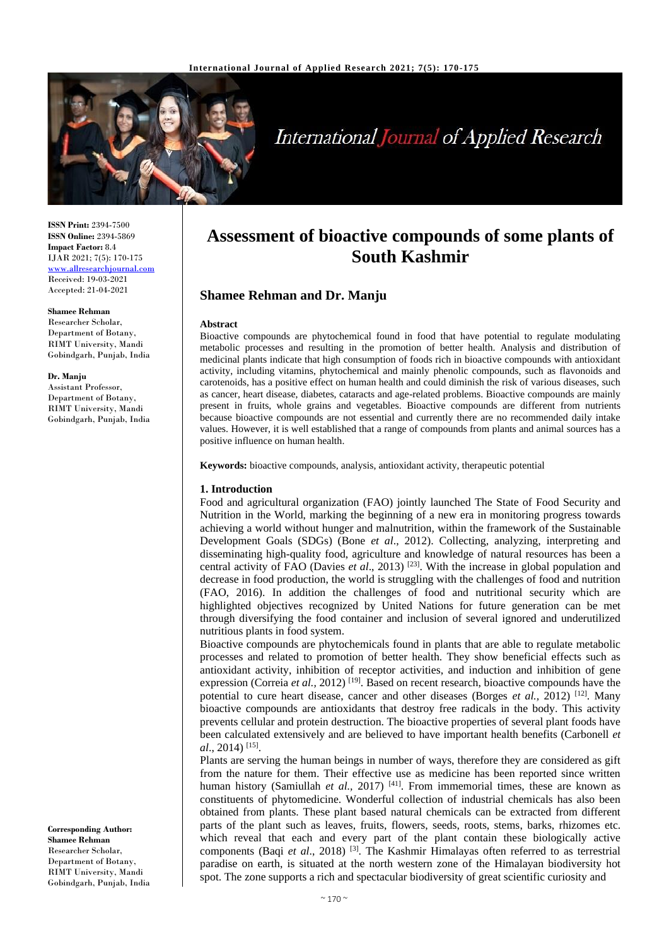

# **International Journal of Applied Research**

**ISSN Print:** 2394-7500 **ISSN Online:** 2394-5869 **Impact Factor:** 8.4 IJAR 2021; 7(5): 170-175 <www.allresearchjournal.com> Received: 19-03-2021 Accepted: 21-04-2021

#### **Shamee Rehman**

Researcher Scholar, Department of Botany, RIMT University, Mandi Gobindgarh, Punjab, India

#### **Dr. Manju**

Assistant Professor, Department of Botany, RIMT University, Mandi Gobindgarh, Punjab, India

**Corresponding Author: Shamee Rehman** Researcher Scholar, Department of Botany, RIMT University, Mandi Gobindgarh, Punjab, India

# **Assessment of bioactive compounds of some plants of South Kashmir**

# **Shamee Rehman and Dr. Manju**

#### **Abstract**

Bioactive compounds are phytochemical found in food that have potential to regulate modulating metabolic processes and resulting in the promotion of better health. Analysis and distribution of medicinal plants indicate that high consumption of foods rich in bioactive compounds with antioxidant activity, including vitamins, phytochemical and mainly phenolic compounds, such as flavonoids and carotenoids, has a positive effect on human health and could diminish the risk of various diseases, such as cancer, heart disease, diabetes, cataracts and age-related problems. Bioactive compounds are mainly present in fruits, whole grains and vegetables. Bioactive compounds are different from nutrients because bioactive compounds are not essential and currently there are no recommended daily intake values. However, it is well established that a range of compounds from plants and animal sources has a positive influence on human health.

**Keywords:** bioactive compounds, analysis, antioxidant activity, therapeutic potential

#### **1. Introduction**

Food and agricultural organization (FAO) jointly launched The State of Food Security and Nutrition in the World, marking the beginning of a new era in monitoring progress towards achieving a world without hunger and malnutrition, within the framework of the Sustainable Development Goals (SDGs) (Bone *et al*., 2012). Collecting, analyzing, interpreting and disseminating high-quality food, agriculture and knowledge of natural resources has been a central activity of FAO (Davies *et al*., 2013) [23]. With the increase in global population and decrease in food production, the world is struggling with the challenges of food and nutrition (FAO, 2016). In addition the challenges of food and nutritional security which are highlighted objectives recognized by United Nations for future generation can be met through diversifying the food container and inclusion of several ignored and underutilized nutritious plants in food system.

Bioactive compounds are phytochemicals found in plants that are able to regulate metabolic processes and related to promotion of better health. They show beneficial effects such as antioxidant activity, inhibition of receptor activities, and induction and inhibition of gene expression (Correia *et al.*, 2012)<sup>[19]</sup>. Based on recent research, bioactive compounds have the potential to cure heart disease, cancer and other diseases (Borges *et al.,* 2012) [12]. Many bioactive compounds are antioxidants that destroy free radicals in the body. This activity prevents cellular and protein destruction. The bioactive properties of several plant foods have been calculated extensively and are believed to have important health benefits (Carbonell *et al*., 2014) [15] .

Plants are serving the human beings in number of ways, therefore they are considered as gift from the nature for them. Their effective use as medicine has been reported since written human history (Samiullah et al., 2017)<sup>[41]</sup>. From immemorial times, these are known as constituents of phytomedicine. Wonderful collection of industrial chemicals has also been obtained from plants. These plant based natural chemicals can be extracted from different parts of the plant such as leaves, fruits, flowers, seeds, roots, stems, barks, rhizomes etc. which reveal that each and every part of the plant contain these biologically active components (Baqi *et al.*, 2018)<sup>[3]</sup>. The Kashmir Himalayas often referred to as terrestrial paradise on earth, is situated at the north western zone of the Himalayan biodiversity hot spot. The zone supports a rich and spectacular biodiversity of great scientific curiosity and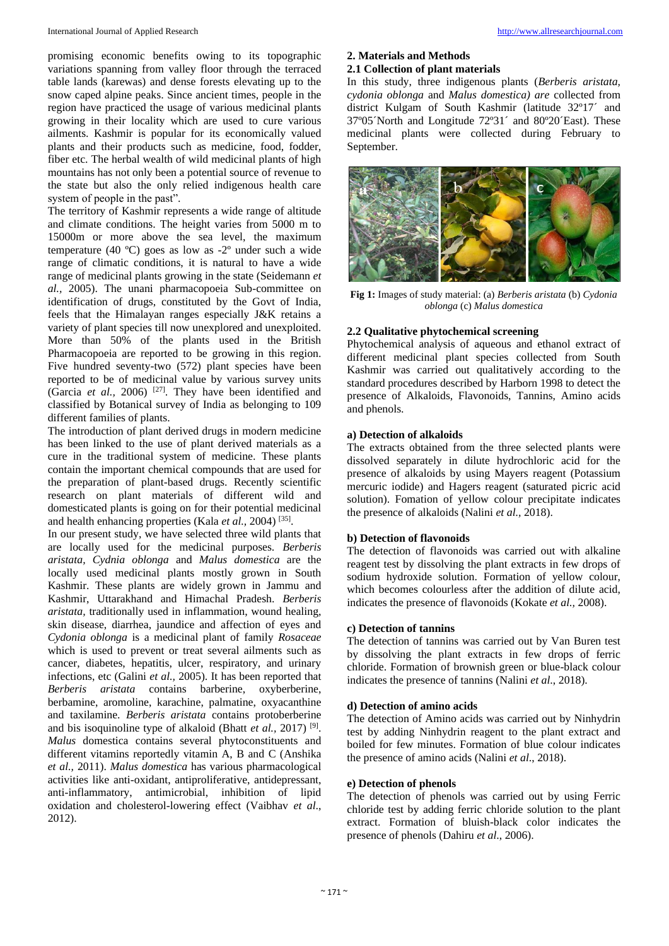promising economic benefits owing to its topographic variations spanning from valley floor through the terraced table lands (karewas) and dense forests elevating up to the snow caped alpine peaks. Since ancient times, people in the region have practiced the usage of various medicinal plants growing in their locality which are used to cure various ailments. Kashmir is popular for its economically valued plants and their products such as medicine, food, fodder, fiber etc. The herbal wealth of wild medicinal plants of high mountains has not only been a potential source of revenue to the state but also the only relied indigenous health care system of people in the past".

The territory of Kashmir represents a wide range of altitude and climate conditions. The height varies from 5000 m to 15000m or more above the sea level, the maximum temperature (40 ºC) goes as low as -2º under such a wide range of climatic conditions, it is natural to have a wide range of medicinal plants growing in the state (Seidemann *et al.,* 2005). The unani pharmacopoeia Sub-committee on identification of drugs, constituted by the Govt of India, feels that the Himalayan ranges especially J&K retains a variety of plant species till now unexplored and unexploited. More than 50% of the plants used in the British Pharmacopoeia are reported to be growing in this region. Five hundred seventy-two (572) plant species have been reported to be of medicinal value by various survey units (Garcia *et al.,* 2006) [27]. They have been identified and classified by Botanical survey of India as belonging to 109 different families of plants.

The introduction of plant derived drugs in modern medicine has been linked to the use of plant derived materials as a cure in the traditional system of medicine. These plants contain the important chemical compounds that are used for the preparation of plant-based drugs. Recently scientific research on plant materials of different wild and domesticated plants is going on for their potential medicinal and health enhancing properties (Kala et al., 2004)<sup>[35]</sup>.

In our present study, we have selected three wild plants that are locally used for the medicinal purposes. *Berberis aristata, Cydnia oblonga* and *Malus domestica* are the locally used medicinal plants mostly grown in South Kashmir. These plants are widely grown in Jammu and Kashmir, Uttarakhand and Himachal Pradesh. *Berberis aristata,* traditionally used in inflammation, wound healing, skin disease, diarrhea, jaundice and affection of eyes and *Cydonia oblonga* is a medicinal plant of family *Rosaceae* which is used to prevent or treat several ailments such as cancer, diabetes, hepatitis, ulcer, respiratory, and urinary infections, etc (Galini *et al.,* 2005). It has been reported that *Berberis aristata* contains barberine, oxyberberine, berbamine, aromoline, karachine, palmatine, oxyacanthine and taxilamine. *Berberis aristata* contains protoberberine and bis isoquinoline type of alkaloid (Bhatt *et al.,* 2017) [9] . *Malus* domestica contains several phytoconstituents and different vitamins reportedly vitamin A, B and C (Anshika *et al.,* 2011). *Malus domestica* has various pharmacological activities like anti-oxidant, antiproliferative, antidepressant, anti-inflammatory, antimicrobial, inhibition of lipid oxidation and cholesterol-lowering effect (Vaibhav *et al*., 2012).

# **2. Materials and Methods**

# **2.1 Collection of plant materials**

In this study, three indigenous plants (*Berberis aristata, cydonia oblonga* and *Malus domestica) are* collected from district Kulgam of South Kashmir (latitude 32º17´ and 37º05´North and Longitude 72º31´ and 80º20´East). These medicinal plants were collected during February to September.



**Fig 1:** Images of study material: (a) *Berberis aristata* (b) *Cydonia oblonga* (c) *Malus domestica*

# **2.2 Qualitative phytochemical screening**

Phytochemical analysis of aqueous and ethanol extract of different medicinal plant species collected from South Kashmir was carried out qualitatively according to the standard procedures described by Harborn 1998 to detect the presence of Alkaloids, Flavonoids, Tannins, Amino acids and phenols.

#### **a) Detection of alkaloids**

The extracts obtained from the three selected plants were dissolved separately in dilute hydrochloric acid for the presence of alkaloids by using Mayers reagent (Potassium mercuric iodide) and Hagers reagent (saturated picric acid solution). Fomation of yellow colour precipitate indicates the presence of alkaloids (Nalini *et al.,* 2018).

#### **b) Detection of flavonoids**

The detection of flavonoids was carried out with alkaline reagent test by dissolving the plant extracts in few drops of sodium hydroxide solution. Formation of yellow colour, which becomes colourless after the addition of dilute acid, indicates the presence of flavonoids (Kokate *et al.,* 2008).

### **c) Detection of tannins**

The detection of tannins was carried out by Van Buren test by dissolving the plant extracts in few drops of ferric chloride. Formation of brownish green or blue-black colour indicates the presence of tannins (Nalini *et al*., 2018).

### **d) Detection of amino acids**

The detection of Amino acids was carried out by Ninhydrin test by adding Ninhydrin reagent to the plant extract and boiled for few minutes. Formation of blue colour indicates the presence of amino acids (Nalini *et al*., 2018).

#### **e) Detection of phenols**

The detection of phenols was carried out by using Ferric chloride test by adding ferric chloride solution to the plant extract. Formation of bluish-black color indicates the presence of phenols (Dahiru *et al*., 2006).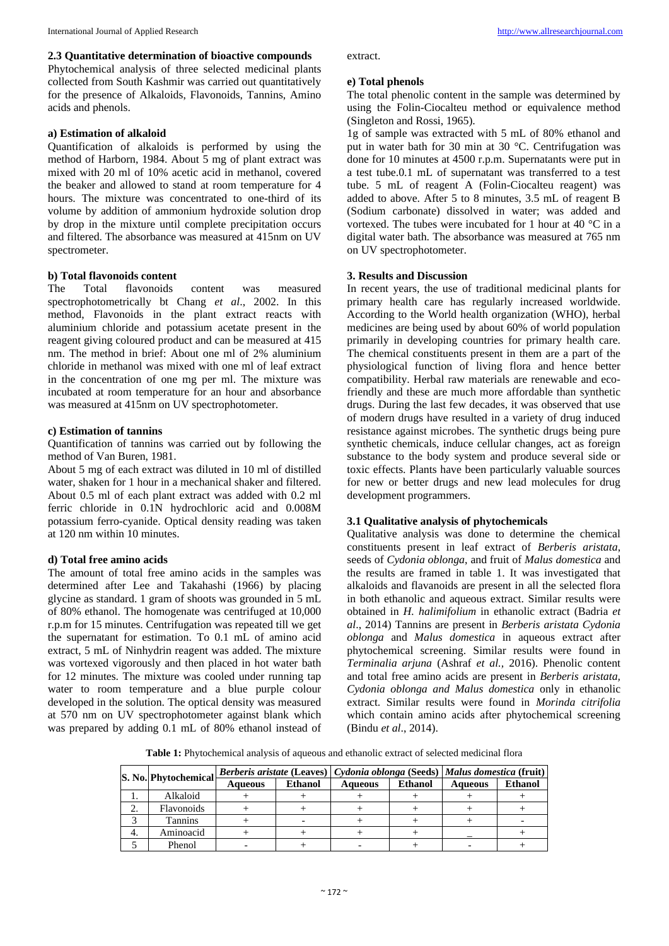#### **2.3 Quantitative determination of bioactive compounds**

Phytochemical analysis of three selected medicinal plants collected from South Kashmir was carried out quantitatively for the presence of Alkaloids, Flavonoids, Tannins, Amino acids and phenols.

#### **a) Estimation of alkaloid**

Quantification of alkaloids is performed by using the method of Harborn, 1984. About 5 mg of plant extract was mixed with 20 ml of 10% acetic acid in methanol, covered the beaker and allowed to stand at room temperature for 4 hours. The mixture was concentrated to one-third of its volume by addition of ammonium hydroxide solution drop by drop in the mixture until complete precipitation occurs and filtered. The absorbance was measured at 415nm on UV spectrometer.

### **b) Total flavonoids content**

The Total flavonoids content was measured spectrophotometrically bt Chang *et al*., 2002. In this method, Flavonoids in the plant extract reacts with aluminium chloride and potassium acetate present in the reagent giving coloured product and can be measured at 415 nm. The method in brief: About one ml of 2% aluminium chloride in methanol was mixed with one ml of leaf extract in the concentration of one mg per ml. The mixture was incubated at room temperature for an hour and absorbance was measured at 415nm on UV spectrophotometer.

#### **c) Estimation of tannins**

Quantification of tannins was carried out by following the method of Van Buren, 1981.

About 5 mg of each extract was diluted in 10 ml of distilled water, shaken for 1 hour in a mechanical shaker and filtered. About 0.5 ml of each plant extract was added with 0.2 ml ferric chloride in 0.1N hydrochloric acid and 0.008M potassium ferro-cyanide. Optical density reading was taken at 120 nm within 10 minutes.

# **d) Total free amino acids**

The amount of total free amino acids in the samples was determined after Lee and Takahashi (1966) by placing glycine as standard. 1 gram of shoots was grounded in 5 mL of 80% ethanol. The homogenate was centrifuged at 10,000 r.p.m for 15 minutes. Centrifugation was repeated till we get the supernatant for estimation. To 0.1 mL of amino acid extract, 5 mL of Ninhydrin reagent was added. The mixture was vortexed vigorously and then placed in hot water bath for 12 minutes. The mixture was cooled under running tap water to room temperature and a blue purple colour developed in the solution. The optical density was measured at 570 nm on UV spectrophotometer against blank which was prepared by adding 0.1 mL of 80% ethanol instead of

extract.

#### **e) Total phenols**

The total phenolic content in the sample was determined by using the Folin-Ciocalteu method or equivalence method (Singleton and Rossi, 1965).

1g of sample was extracted with 5 mL of 80% ethanol and put in water bath for 30 min at 30 °C. Centrifugation was done for 10 minutes at 4500 r.p.m. Supernatants were put in a test tube.0.1 mL of supernatant was transferred to a test tube. 5 mL of reagent A (Folin-Ciocalteu reagent) was added to above. After 5 to 8 minutes, 3.5 mL of reagent B (Sodium carbonate) dissolved in water; was added and vortexed. The tubes were incubated for 1 hour at 40 °C in a digital water bath. The absorbance was measured at 765 nm on UV spectrophotometer.

#### **3. Results and Discussion**

In recent years, the use of traditional medicinal plants for primary health care has regularly increased worldwide. According to the World health organization (WHO), herbal medicines are being used by about 60% of world population primarily in developing countries for primary health care. The chemical constituents present in them are a part of the physiological function of living flora and hence better compatibility. Herbal raw materials are renewable and ecofriendly and these are much more affordable than synthetic drugs. During the last few decades, it was observed that use of modern drugs have resulted in a variety of drug induced resistance against microbes. The synthetic drugs being pure synthetic chemicals, induce cellular changes, act as foreign substance to the body system and produce several side or toxic effects. Plants have been particularly valuable sources for new or better drugs and new lead molecules for drug development programmers.

# **3.1 Qualitative analysis of phytochemicals**

Qualitative analysis was done to determine the chemical constituents present in leaf extract of *Berberis aristata*, seeds of *Cydonia oblonga*, and fruit of *Malus domestica* and the results are framed in table 1. It was investigated that alkaloids and flavanoids are present in all the selected flora in both ethanolic and aqueous extract. Similar results were obtained in *H. halimifolium* in ethanolic extract (Badria *et al*., 2014) Tannins are present in *Berberis aristata Cydonia oblonga* and *Malus domestica* in aqueous extract after phytochemical screening. Similar results were found in *Terminalia arjuna* (Ashraf *et al.,* 2016). Phenolic content and total free amino acids are present in *Berberis aristata, Cydonia oblonga and Malus domestica* only in ethanolic extract. Similar results were found in *Morinda citrifolia*  which contain amino acids after phytochemical screening (Bindu *et al*., 2014).

**Table 1:** Phytochemical analysis of aqueous and ethanolic extract of selected medicinal flora

|    | S. No. Phytochemical | Berberis aristate (Leaves)   Cydonia oblonga (Seeds)   Malus domestica (fruit) |                |                |                |                |                |
|----|----------------------|--------------------------------------------------------------------------------|----------------|----------------|----------------|----------------|----------------|
|    |                      | <b>Aqueous</b>                                                                 | <b>Ethanol</b> | <b>Aqueous</b> | <b>Ethanol</b> | <b>Aqueous</b> | <b>Ethanol</b> |
|    | Alkaloid             |                                                                                |                |                |                |                |                |
|    | Flavonoids           |                                                                                |                |                |                |                |                |
|    | Tannins              |                                                                                |                |                |                |                |                |
| 4. | Aminoacid            |                                                                                |                |                |                |                |                |
|    | Phenol               |                                                                                |                |                |                |                |                |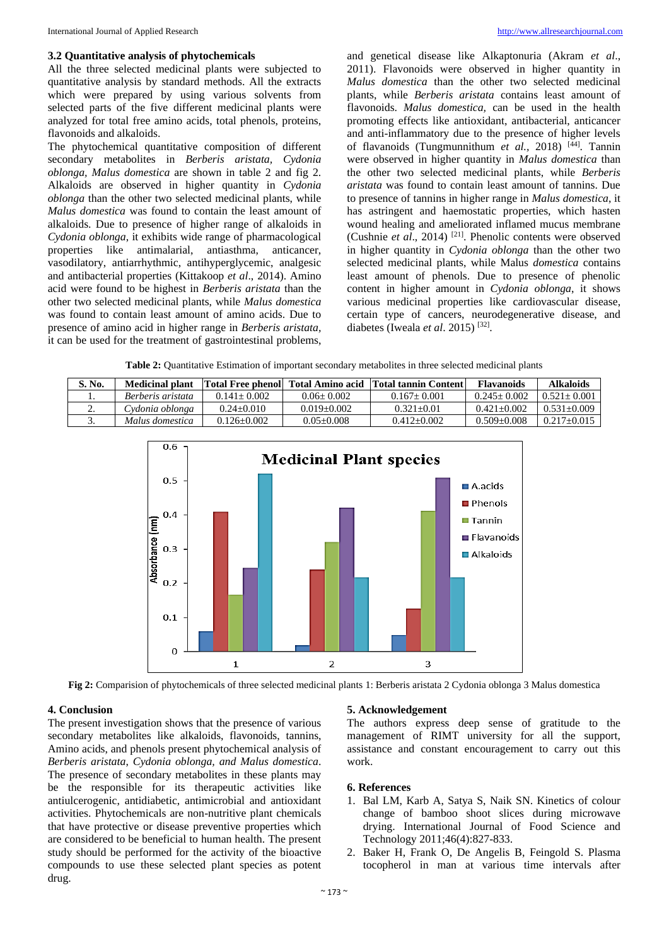#### **3.2 Quantitative analysis of phytochemicals**

All the three selected medicinal plants were subjected to quantitative analysis by standard methods. All the extracts which were prepared by using various solvents from selected parts of the five different medicinal plants were analyzed for total free amino acids, total phenols, proteins, flavonoids and alkaloids.

The phytochemical quantitative composition of different secondary metabolites in *Berberis aristata, Cydonia oblonga, Malus domestica* are shown in table 2 and fig 2. Alkaloids are observed in higher quantity in *Cydonia oblonga* than the other two selected medicinal plants, while *Malus domestica* was found to contain the least amount of alkaloids. Due to presence of higher range of alkaloids in *Cydonia oblonga*, it exhibits wide range of pharmacological properties like antimalarial, antiasthma, anticancer, vasodilatory, antiarrhythmic, antihyperglycemic, analgesic and antibacterial properties (Kittakoop *et al*., 2014). Amino acid were found to be highest in *Berberis aristata* than the other two selected medicinal plants, while *Malus domestica* was found to contain least amount of amino acids. Due to presence of amino acid in higher range in *Berberis aristata,* it can be used for the treatment of gastrointestinal problems,

and genetical disease like Alkaptonuria (Akram *et al*., 2011). Flavonoids were observed in higher quantity in *Malus domestica* than the other two selected medicinal plants, while *Berberis aristata* contains least amount of flavonoids. *Malus domestica,* can be used in the health promoting effects like antioxidant, antibacterial, anticancer and anti-inflammatory due to the presence of higher levels of flavanoids (Tungmunnithum et al., 2018)<sup>[44]</sup>. Tannin were observed in higher quantity in *Malus domestica* than the other two selected medicinal plants, while *Berberis aristata* was found to contain least amount of tannins. Due to presence of tannins in higher range in *Malus domestica*, it has astringent and haemostatic properties, which hasten wound healing and ameliorated inflamed mucus membrane (Cushnie *et al*., 2014) [21]. Phenolic contents were observed in higher quantity in *Cydonia oblonga* than the other two selected medicinal plants, while Malus *domestica* contains least amount of phenols. Due to presence of phenolic content in higher amount in *Cydonia oblonga*, it shows various medicinal properties like cardiovascular disease, certain type of cancers, neurodegenerative disease, and diabetes (Iweala *et al*. 2015) [32] .

**Table 2:** Ouantitative Estimation of important secondary metabolites in three selected medicinal plants

| S. No.   | <b>Medicinal plant</b> |                 | Total Free phenol Total Amino acid | Total tannin Content | <b>Flavanoids</b> | <b>Alkaloids</b>  |
|----------|------------------------|-----------------|------------------------------------|----------------------|-------------------|-------------------|
| . .      | Berberis aristata      | $0.141 + 0.002$ | $0.06 + 0.002$                     | $0.167 + 0.001$      | $0.245+0.002$     | $0.521 + 0.001$   |
| <u>.</u> | Cydonia oblonga        | $0.24 + 0.010$  | $0.019 + 0.002$                    | $0.321 + 0.01$       | $0.421 + 0.002$   | $0.531 + 0.009$   |
| <u>.</u> | Malus domestica        | $0.126 + 0.002$ | $0.05 + 0.008$                     | $0.412 + 0.002$      | $0.509 + 0.008$   | $0.217 \pm 0.015$ |



**Fig 2:** Comparision of phytochemicals of three selected medicinal plants 1: Berberis aristata 2 Cydonia oblonga 3 Malus domestica

#### **4. Conclusion**

The present investigation shows that the presence of various secondary metabolites like alkaloids, flavonoids, tannins, Amino acids, and phenols present phytochemical analysis of *Berberis aristata*, *Cydonia oblonga, and Malus domestica*. The presence of secondary metabolites in these plants may be the responsible for its therapeutic activities like antiulcerogenic, antidiabetic, antimicrobial and antioxidant activities. Phytochemicals are non-nutritive plant chemicals that have protective or disease preventive properties which are considered to be beneficial to human health. The present study should be performed for the activity of the bioactive compounds to use these selected plant species as potent drug.

#### **5. Acknowledgement**

The authors express deep sense of gratitude to the management of RIMT university for all the support, assistance and constant encouragement to carry out this work.

#### **6. References**

- 1. Bal LM, Karb A, Satya S, Naik SN. Kinetics of colour change of bamboo shoot slices during microwave drying. International Journal of Food Science and Technology 2011;46(4):827-833.
- 2. Baker H, Frank O, De Angelis B, Feingold S. Plasma tocopherol in man at various time intervals after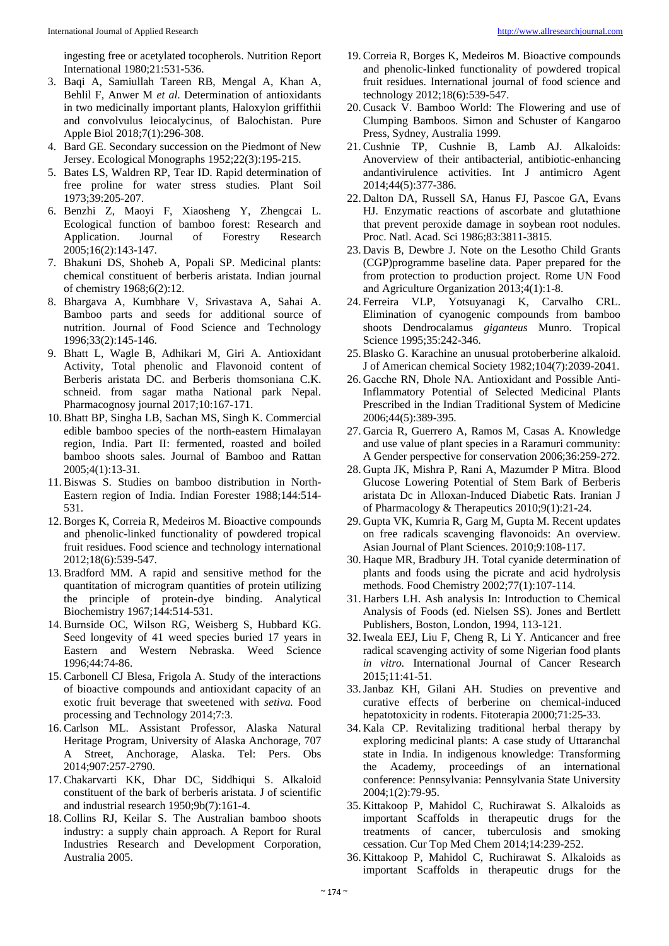ingesting free or acetylated tocopherols. Nutrition Report International 1980;21:531-536.

- 3. Baqi A, Samiullah Tareen RB, Mengal A, Khan A, Behlil F, Anwer M *et al*. Determination of antioxidants in two medicinally important plants, Haloxylon griffithii and convolvulus leiocalycinus, of Balochistan. Pure Apple Biol 2018;7(1):296-308.
- 4. Bard GE. Secondary succession on the Piedmont of New Jersey. Ecological Monographs 1952;22(3):195-215.
- 5. Bates LS, Waldren RP, Tear ID. Rapid determination of free proline for water stress studies. Plant Soil 1973;39:205-207.
- 6. Benzhi Z, Maoyi F, Xiaosheng Y, Zhengcai L. Ecological function of bamboo forest: Research and Application. Journal of Forestry Research 2005;16(2):143-147.
- 7. Bhakuni DS, Shoheb A, Popali SP. Medicinal plants: chemical constituent of berberis aristata. Indian journal of chemistry 1968;6(2):12.
- 8. Bhargava A, Kumbhare V, Srivastava A, Sahai A. Bamboo parts and seeds for additional source of nutrition. Journal of Food Science and Technology 1996;33(2):145-146.
- 9. Bhatt L, Wagle B, Adhikari M, Giri A. Antioxidant Activity, Total phenolic and Flavonoid content of Berberis aristata DC. and Berberis thomsoniana C.K. schneid. from sagar matha National park Nepal. Pharmacognosy journal 2017;10:167-171.
- 10. Bhatt BP, Singha LB, Sachan MS, Singh K. Commercial edible bamboo species of the north-eastern Himalayan region, India. Part II: fermented, roasted and boiled bamboo shoots sales. Journal of Bamboo and Rattan 2005;4(1):13-31.
- 11. Biswas S. Studies on bamboo distribution in North-Eastern region of India. Indian Forester 1988;144:514- 531.
- 12. Borges K, Correia R, Medeiros M. Bioactive compounds and phenolic-linked functionality of powdered tropical fruit residues. Food science and technology international 2012;18(6):539-547.
- 13. Bradford MM. A rapid and sensitive method for the quantitation of microgram quantities of protein utilizing the principle of protein-dye binding. Analytical Biochemistry 1967;144:514-531.
- 14. Burnside OC, Wilson RG, Weisberg S, Hubbard KG. Seed longevity of 41 weed species buried 17 years in Eastern and Western Nebraska. Weed Science 1996;44:74-86.
- 15. Carbonell CJ Blesa, Frigola A. Study of the interactions of bioactive compounds and antioxidant capacity of an exotic fruit beverage that sweetened with *setiva.* Food processing and Technology 2014;7:3.
- 16. Carlson ML. Assistant Professor, Alaska Natural Heritage Program, University of Alaska Anchorage, 707 A Street, Anchorage, Alaska. Tel: Pers. Obs 2014;907:257-2790.
- 17. Chakarvarti KK, Dhar DC, Siddhiqui S. Alkaloid constituent of the bark of berberis aristata. J of scientific and industrial research 1950;9b(7):161-4.
- 18. Collins RJ, Keilar S. The Australian bamboo shoots industry: a supply chain approach. A Report for Rural Industries Research and Development Corporation, Australia 2005.
- 19. Correia R, Borges K, Medeiros M. Bioactive compounds and phenolic-linked functionality of powdered tropical fruit residues. International journal of food science and technology 2012;18(6):539-547.
- 20. Cusack V. Bamboo World: The Flowering and use of Clumping Bamboos. Simon and Schuster of Kangaroo Press, Sydney, Australia 1999.
- 21. Cushnie TP, Cushnie B, Lamb AJ. Alkaloids: Anoverview of their antibacterial, antibiotic-enhancing andantivirulence activities. Int J antimicro Agent 2014;44(5):377-386.
- 22. Dalton DA, Russell SA, Hanus FJ, Pascoe GA, Evans HJ. Enzymatic reactions of ascorbate and glutathione that prevent peroxide damage in soybean root nodules. Proc. Natl. Acad. Sci 1986;83:3811-3815.
- 23. Davis B, Dewbre J. Note on the Lesotho Child Grants (CGP)programme baseline data. Paper prepared for the from protection to production project. Rome UN Food and Agriculture Organization 2013;4(1):1-8.
- 24. Ferreira VLP, Yotsuyanagi K, Carvalho CRL. Elimination of cyanogenic compounds from bamboo shoots Dendrocalamus *giganteus* Munro. Tropical Science 1995;35:242-346.
- 25. Blasko G. Karachine an unusual protoberberine alkaloid. J of American chemical Society 1982;104(7):2039-2041.
- 26. Gacche RN, Dhole NA. Antioxidant and Possible Anti-Inflammatory Potential of Selected Medicinal Plants Prescribed in the Indian Traditional System of Medicine 2006;44(5):389-395.
- 27. Garcia R, Guerrero A, Ramos M, Casas A. Knowledge and use value of plant species in a Raramuri community: A Gender perspective for conservation 2006;36:259-272.
- 28. Gupta JK, Mishra P, Rani A, Mazumder P Mitra. Blood Glucose Lowering Potential of Stem Bark of Berberis aristata Dc in Alloxan-Induced Diabetic Rats. Iranian J of Pharmacology & Therapeutics 2010;9(1):21-24.
- 29. Gupta VK, Kumria R, Garg M, Gupta M. Recent updates on free radicals scavenging flavonoids: An overview. Asian Journal of Plant Sciences. 2010;9:108-117.
- 30. Haque MR, Bradbury JH. Total cyanide determination of plants and foods using the picrate and acid hydrolysis methods. Food Chemistry 2002;77(1):107-114.
- 31. Harbers LH. Ash analysis In: Introduction to Chemical Analysis of Foods (ed. Nielsen SS). Jones and Bertlett Publishers, Boston, London, 1994, 113-121.
- 32. Iweala EEJ, Liu F, Cheng R, Li Y. Anticancer and free radical scavenging activity of some Nigerian food plants *in vitro.* International Journal of Cancer Research 2015;11:41-51.
- 33.Janbaz KH, Gilani AH. Studies on preventive and curative effects of berberine on chemical-induced hepatotoxicity in rodents. Fitoterapia 2000;71:25-33.
- 34. Kala CP. Revitalizing traditional herbal therapy by exploring medicinal plants: A case study of Uttaranchal state in India. In indigenous knowledge: Transforming the Academy, proceedings of an international conference: Pennsylvania: Pennsylvania State University 2004;1(2):79-95.
- 35. Kittakoop P, Mahidol C, Ruchirawat S. Alkaloids as important Scaffolds in therapeutic drugs for the treatments of cancer, tuberculosis and smoking cessation. Cur Top Med Chem 2014;14:239-252.
- 36. Kittakoop P, Mahidol C, Ruchirawat S. Alkaloids as important Scaffolds in therapeutic drugs for the